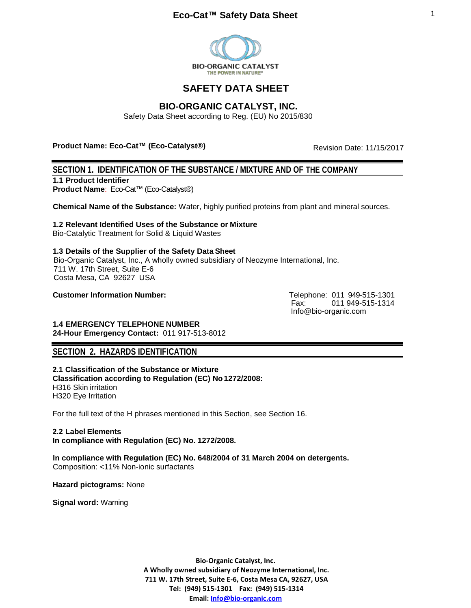

# **SAFETY DATA SHEET**

# **BIO-ORGANIC CATALYST, INC.**

Safety Data Sheet according to Reg. (EU) No 2015/830

**Product Name: Eco-Cat™ (Eco-Catalyst®)** 

Revision Date: 11/15/2017

## **SECTION 1. IDENTIFICATION OF THE SUBSTANCE / MIXTURE AND OF THE COMPANY**

**1.1 Product Identifier** 

**Product Name**: Eco-Cat™ (Eco-Catalyst®)

**Chemical Name of the Substance:** Water, highly purified proteins from plant and mineral sources.

**1.2 Relevant Identified Uses of the Substance or Mixture** Bio-Catalytic Treatment for Solid & Liquid Wastes

**1.3 Details of the Supplier of the Safety Data Sheet** Bio-Organic Catalyst, Inc., A wholly owned subsidiary of Neozyme International, Inc. 711 W. 17th Street, Suite E-6 Costa Mesa, CA 92627 USA

**Customer Information Number:** Telephone: 011 949-515-1301

Fax: 011 949-515-1314 [Info@bio-organic.com](mailto:Info@bio-organic.com)

**1.4 EMERGENCY TELEPHONE NUMBER 24-Hour Emergency Contact:** 011 917-513-8012

# **SECTION 2. HAZARDS IDENTIFICATION**

**2.1 Classification of the Substance or Mixture Classification according to Regulation (EC) No1272/2008:**  H316 Skin irritation H320 Eye Irritation

For the full text of the H phrases mentioned in this Section, see Section 16.

# **2.2 Label Elements**

**In compliance with Regulation (EC) No. 1272/2008.** 

**In compliance with Regulation (EC) No. 648/2004 of 31 March 2004 on detergents.** Composition: <11% Non-ionic surfactants

**Hazard pictograms:** None

**Signal word:** Warning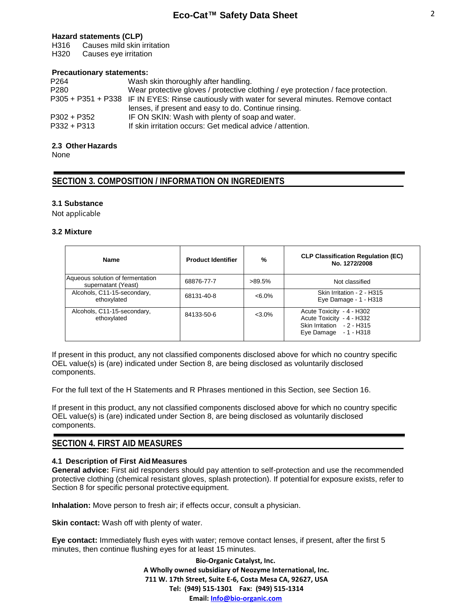## **Hazard statements (CLP)**

H316 Causes mild skin irritation

H320 Causes eye irritation

#### **Precautionary statements:**

| P <sub>264</sub> | Wash skin thoroughly after handling.                                                           |
|------------------|------------------------------------------------------------------------------------------------|
| P <sub>280</sub> | Wear protective gloves / protective clothing / eye protection / face protection.               |
|                  | P305 + P351 + P338 IF IN EYES: Rinse cautiously with water for several minutes. Remove contact |
|                  | lenses, if present and easy to do. Continue rinsing.                                           |
| $P302 + P352$    | IF ON SKIN: Wash with plenty of soap and water.                                                |
| $P332 + P313$    | If skin irritation occurs: Get medical advice / attention.                                     |

## **2.3 Other Hazards**

None

# **SECTION 3. COMPOSITION / INFORMATION ON INGREDIENTS**

## **3.1 Substance**

Not applicable

#### **3.2 Mixture**

| <b>Name</b>                                             | <b>Product Identifier</b> | %         | <b>CLP Classification Regulation (EC)</b><br>No. 1272/2008                                                    |
|---------------------------------------------------------|---------------------------|-----------|---------------------------------------------------------------------------------------------------------------|
| Aqueous solution of fermentation<br>supernatant (Yeast) | 68876-77-7                | $>89.5\%$ | Not classified                                                                                                |
| Alcohols, C11-15-secondary,<br>ethoxylated              | 68131-40-8                | $< 6.0\%$ | Skin Irritation - 2 - H315<br>Eye Damage - 1 - H318                                                           |
| Alcohols, C11-15-secondary,<br>ethoxylated              | 84133-50-6                | $<$ 3.0%  | Acute Toxicity - 4 - H302<br>Acute Toxicity - 4 - H332<br>Skin Irritation - 2 - H315<br>Eye Damage - 1 - H318 |

If present in this product, any not classified components disclosed above for which no country specific OEL value(s) is (are) indicated under Section 8, are being disclosed as voluntarily disclosed components.

For the full text of the H Statements and R Phrases mentioned in this Section, see Section 16.

If present in this product, any not classified components disclosed above for which no country specific OEL value(s) is (are) indicated under Section 8, are being disclosed as voluntarily disclosed components.

# **SECTION 4. FIRST AID MEASURES**

## **4.1 Description of First Aid Measures**

**General advice:** First aid responders should pay attention to self-protection and use the recommended protective clothing (chemical resistant gloves, splash protection). If potential for exposure exists, refer to Section 8 for specific personal protective equipment.

**Inhalation:** Move person to fresh air; if effects occur, consult a physician.

**Skin contact:** Wash off with plenty of water.

**Eye contact:** Immediately flush eyes with water; remove contact lenses, if present, after the first 5 minutes, then continue flushing eyes for at least 15 minutes.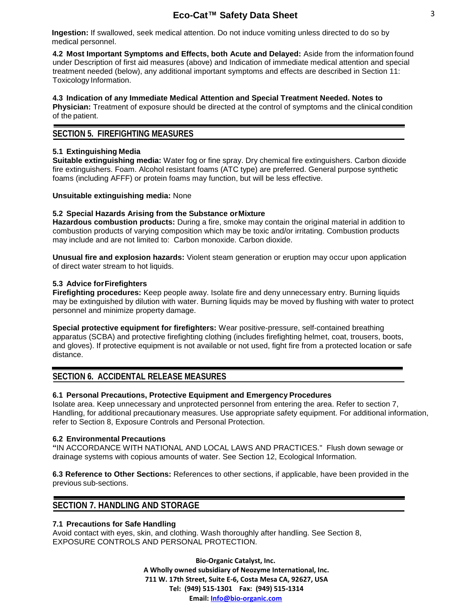**Ingestion:** If swallowed, seek medical attention. Do not induce vomiting unless directed to do so by medical personnel.

**4.2 Most Important Symptoms and Effects, both Acute and Delayed:** Aside from the information found under Description of first aid measures (above) and Indication of immediate medical attention and special treatment needed (below), any additional important symptoms and effects are described in Section 11: Toxicology Information.

**4.3 Indication of any Immediate Medical Attention and Special Treatment Needed. Notes to Physician:** Treatment of exposure should be directed at the control of symptoms and the clinical condition of the patient.

## **SECTION 5. FIREFIGHTING MEASURES**

## **5.1 Extinguishing Media**

**Suitable extinguishing media:** Water fog or fine spray. Dry chemical fire extinguishers. Carbon dioxide fire extinguishers. Foam. Alcohol resistant foams (ATC type) are preferred. General purpose synthetic foams (including AFFF) or protein foams may function, but will be less effective.

#### **Unsuitable extinguishing media:** None

## **5.2 Special Hazards Arising from the Substance orMixture**

**Hazardous combustion products:** During a fire, smoke may contain the original material in addition to combustion products of varying composition which may be toxic and/or irritating. Combustion products may include and are not limited to: Carbon monoxide. Carbon dioxide.

**Unusual fire and explosion hazards:** Violent steam generation or eruption may occur upon application of direct water stream to hot liquids.

## **5.3 Advice forFirefighters**

**Firefighting procedures:** Keep people away. Isolate fire and deny unnecessary entry. Burning liquids may be extinguished by dilution with water. Burning liquids may be moved by flushing with water to protect personnel and minimize property damage.

**Special protective equipment for firefighters:** Wear positive-pressure, self-contained breathing apparatus (SCBA) and protective firefighting clothing (includes firefighting helmet, coat, trousers, boots, and gloves). If protective equipment is not available or not used, fight fire from a protected location or safe distance.

# **SECTION 6. ACCIDENTAL RELEASE MEASURES**

## **6.1 Personal Precautions, Protective Equipment and Emergency Procedures**

Isolate area. Keep unnecessary and unprotected personnel from entering the area. Refer to section 7, Handling, for additional precautionary measures. Use appropriate safety equipment. For additional information, refer to Section 8, Exposure Controls and Personal Protection.

#### **6.2 Environmental Precautions**

**"**IN ACCORDANCE WITH NATIONAL AND LOCAL LAWS AND PRACTICES." Flush down sewage or drainage systems with copious amounts of water. See Section 12, Ecological Information.

**6.3 Reference to Other Sections:** References to other sections, if applicable, have been provided in the previous sub-sections.

# **SECTION 7. HANDLING AND STORAGE**

### **7.1 Precautions for Safe Handling**

Avoid contact with eyes, skin, and clothing. Wash thoroughly after handling. See Section 8, EXPOSURE CONTROLS AND PERSONAL PROTECTION.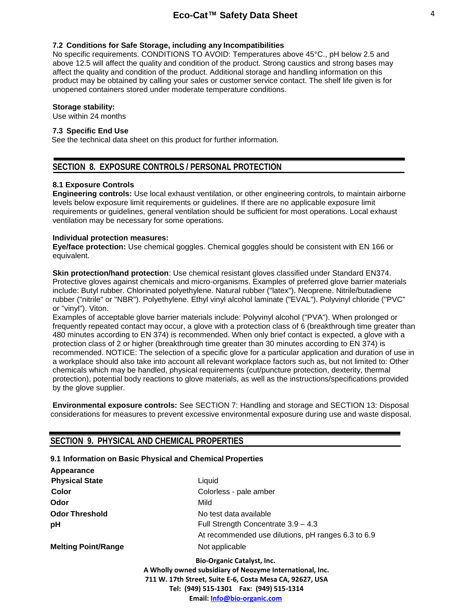#### **7.2 Conditions for Safe Storage, including any Incompatibilities**

No specific requirements. CONDITIONS TO AVOID: Temperatures above 45°C., pH below 2.5 and above 12.5 will affect the quality and condition of the product. Strong caustics and strong bases may affect the quality and condition of the product. Additional storage and handling information on this product may be obtained by calling your sales or customer service contact. The shelf life given is for unopened containers stored under moderate temperature conditions.

#### **Storage stability:**

Use within 24 months

## **7.3 Specific End Use**

See the technical data sheet on this product for further information.

## **SECTION 8. EXPOSURE CONTROLS / PERSONAL PROTECTION**

#### **8.1 Exposure Controls**

**Engineering controls:** Use local exhaust ventilation, or other engineering controls, to maintain airborne levels below exposure limit requirements or guidelines. If there are no applicable exposure limit requirements or guidelines, general ventilation should be sufficient for most operations. Local exhaust ventilation may be necessary for some operations.

#### **Individual protection measures:**

**Eye/face protection:** Use chemical goggles. Chemical goggles should be consistent with EN 166 or equivalent.

**Skin protection/hand protection**: Use chemical resistant gloves classified under Standard EN374. Protective gloves against chemicals and micro-organisms. Examples of preferred glove barrier materials include: Butyl rubber. Chlorinated polyethylene. Natural rubber ("latex"). Neoprene. Nitrile/butadiene rubber ("nitrile" or "NBR"). Polyethylene. Ethyl vinyl alcohol laminate ("EVAL"). Polyvinyl chloride ("PVC" or "vinyl"). Viton.

Examples of acceptable glove barrier materials include: Polyvinyl alcohol ("PVA"). When prolonged or frequently repeated contact may occur, a glove with a protection class of 6 (breakthrough time greater than 480 minutes according to EN 374) is recommended. When only brief contact is expected, a glove with a protection class of 2 or higher (breakthrough time greater than 30 minutes according to EN 374) is recommended. NOTICE: The selection of a specific glove for a particular application and duration of use in a workplace should also take into account all relevant workplace factors such as, but not limited to: Other chemicals which may be handled, physical requirements (cut/puncture protection, dexterity, thermal protection), potential body reactions to glove materials, as well as the instructions/specifications provided by the glove supplier.

**Environmental exposure controls:** See SECTION 7: Handling and storage and SECTION 13: Disposal considerations for measures to prevent excessive environmental exposure during use and waste disposal.

# **SECTION 9. PHYSICAL AND CHEMICAL PROPERTIES**

#### **9.1 Information on Basic Physical and Chemical Properties**

| Appearance                 |                                                                                                                                                                                                                                      |
|----------------------------|--------------------------------------------------------------------------------------------------------------------------------------------------------------------------------------------------------------------------------------|
| <b>Physical State</b>      | Liquid                                                                                                                                                                                                                               |
| Color                      | Colorless - pale amber                                                                                                                                                                                                               |
| Odor                       | Mild                                                                                                                                                                                                                                 |
| <b>Odor Threshold</b>      | No test data available                                                                                                                                                                                                               |
| рH                         | Full Strength Concentrate 3.9 - 4.3                                                                                                                                                                                                  |
|                            | At recommended use dilutions, pH ranges 6.3 to 6.9                                                                                                                                                                                   |
| <b>Melting Point/Range</b> | Not applicable                                                                                                                                                                                                                       |
|                            | <b>Bio-Organic Catalyst, Inc.</b><br>A Wholly owned subsidiary of Neozyme International, Inc.<br>711 W. 17th Street, Suite E-6, Costa Mesa CA, 92627, USA<br>Tel: (949) 515-1301  Fax: (949) 515-1314<br>Email: Info@bio-organic.com |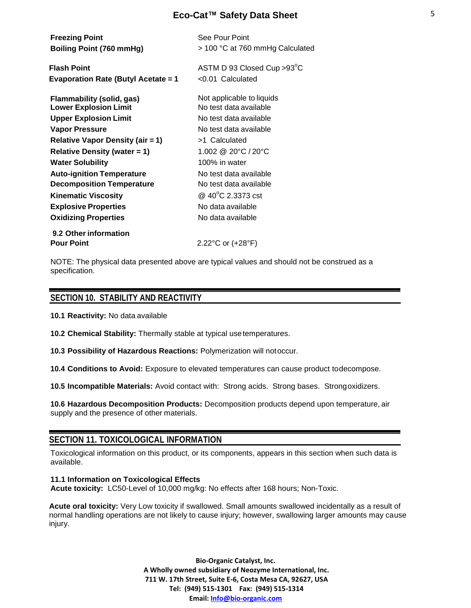| <b>Freezing Point</b><br>Boiling Point (760 mmHg)                | See Pour Point<br>> 100 °C at 760 mmHg Calculated   |
|------------------------------------------------------------------|-----------------------------------------------------|
| <b>Flash Point</b><br><b>Evaporation Rate (Butyl Acetate = 1</b> | ASTM D 93 Closed Cup > 93°C<br>$< 0.01$ Calculated  |
| Flammability (solid, gas)<br><b>Lower Explosion Limit</b>        | Not applicable to liquids<br>No test data available |
| <b>Upper Explosion Limit</b>                                     | No test data available                              |
| Vapor Pressure                                                   | No test data available                              |
| <b>Relative Vapor Density (air = 1)</b>                          | >1 Calculated                                       |
| <b>Relative Density (water = 1)</b>                              | 1.002 @ 20°C / 20°C                                 |
| <b>Water Solubility</b>                                          | 100% in water                                       |
| <b>Auto-ignition Temperature</b>                                 | No test data available                              |
| <b>Decomposition Temperature</b>                                 | No test data available                              |
| <b>Kinematic Viscosity</b>                                       | @ 40°C 2.3373 cst                                   |
| <b>Explosive Properties</b>                                      | No data available                                   |
| <b>Oxidizing Properties</b>                                      | No data available                                   |
| 9.2 Other information                                            |                                                     |
| <b>Pour Point</b>                                                | 2.22°C or (+28°F)                                   |

NOTE: The physical data presented above are typical values and should not be construed as a specification.

## **SECTION 10. STABILITY AND REACTIVITY**

**10.1 Reactivity:** No data available

**10.2 Chemical Stability:** Thermally stable at typical usetemperatures.

**10.3 Possibility of Hazardous Reactions:** Polymerization will notoccur.

**10.4 Conditions to Avoid:** Exposure to elevated temperatures can cause product todecompose.

**10.5 Incompatible Materials:** Avoid contact with: Strong acids. Strong bases. Strongoxidizers.

**10.6 Hazardous Decomposition Products:** Decomposition products depend upon temperature, air supply and the presence of other materials.

# **SECTION 11. TOXICOLOGICAL INFORMATION**

Toxicological information on this product, or its components, appears in this section when such data is available.

**11.1 Information on Toxicological Effects Acute toxicity:** LC50-Level of 10,000 mg/kg: No effects after 168 hours; Non-Toxic.

**Acute oral toxicity:** Very Low toxicity if swallowed. Small amounts swallowed incidentally as a result of normal handling operations are not likely to cause injury; however, swallowing larger amounts may cause injury.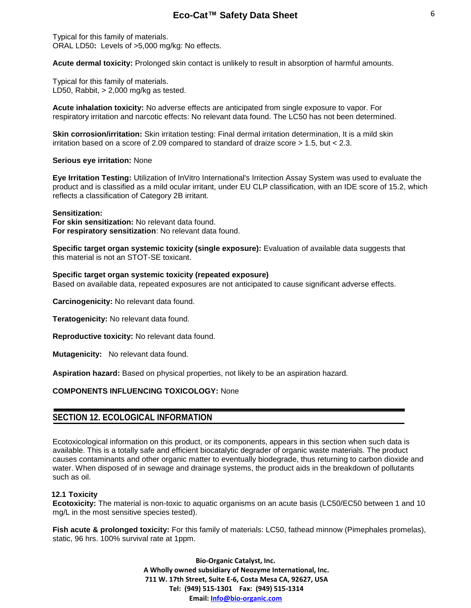Typical for this family of materials. ORAL LD50**:** Levels of >5,000 mg/kg: No effects.

**Acute dermal toxicity:** Prolonged skin contact is unlikely to result in absorption of harmful amounts.

Typical for this family of materials. LD50, Rabbit, > 2,000 mg/kg as tested.

**Acute inhalation toxicity:** No adverse effects are anticipated from single exposure to vapor. For respiratory irritation and narcotic effects: No relevant data found. The LC50 has not been determined.

**Skin corrosion/irritation:** Skin irritation testing: Final dermal irritation determination, It is a mild skin irritation based on a score of 2.09 compared to standard of draize score > 1.5, but < 2.3.

#### **Serious eye irritation:** None

**Eye Irritation Testing:** Utilization of InVitro International's Irritection Assay System was used to evaluate the product and is classified as a mild ocular irritant, under EU CLP classification, with an IDE score of 15.2, which reflects a classification of Category 2B irritant.

#### **Sensitization:**

**For skin sensitization:** No relevant data found. **For respiratory sensitization**: No relevant data found.

**Specific target organ systemic toxicity (single exposure):** Evaluation of available data suggests that this material is not an STOT-SE toxicant.

#### **Specific target organ systemic toxicity (repeated exposure)**

Based on available data, repeated exposures are not anticipated to cause significant adverse effects.

**Carcinogenicity:** No relevant data found.

**Teratogenicity:** No relevant data found.

**Reproductive toxicity:** No relevant data found.

**Mutagenicity:** No relevant data found.

**Aspiration hazard:** Based on physical properties, not likely to be an aspiration hazard.

#### **COMPONENTS INFLUENCING TOXICOLOGY:** None

## **SECTION 12. ECOLOGICAL INFORMATION**

Ecotoxicological information on this product, or its components, appears in this section when such data is available. This is a totally safe and efficient biocatalytic degrader of organic waste materials. The product causes contaminants and other organic matter to eventually biodegrade, thus returning to carbon dioxide and water. When disposed of in sewage and drainage systems, the product aids in the breakdown of pollutants such as oil.

#### **12.1 Toxicity**

**Ecotoxicity:** The material is non-toxic to aquatic organisms on an acute basis (LC50/EC50 between 1 and 10 mg/L in the most sensitive species tested).

**Fish acute & prolonged toxicity:** For this family of materials: LC50, fathead minnow (Pimephales promelas), static, 96 hrs. 100% survival rate at 1ppm.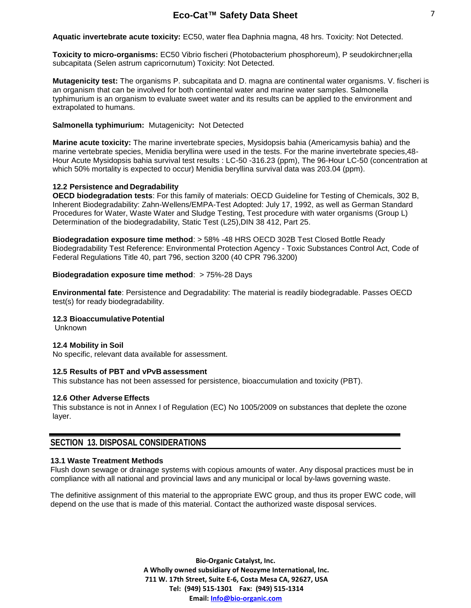**Aquatic invertebrate acute toxicity:** EC50, water flea Daphnia magna, 48 hrs. Toxicity: Not Detected.

**Toxicity to micro-organisms:** EC50 Vibrio fischeri (Photobacterium phosphoreum), P seudokirchner¡ella subcapitata (Selen astrum capricornutum) Toxicity: Not Detected.

**Mutagenicity test:** The organisms P. subcapitata and D. magna are continental water organisms. V. fischeri is an organism that can be involved for both continental water and marine water samples. Salmonella typhimurium is an organism to evaluate sweet water and its results can be applied to the environment and extrapolated to humans.

#### **Salmonella typhimurium:** Mutagenicity**:** Not Detected

**Marine acute toxicity:** The marine invertebrate species, Mysidopsis bahia (Americamysis bahia) and the marine vertebrate species, Menidia beryllina were used in the tests. For the marine invertebrate species,48- Hour Acute Mysidopsis bahia survival test results : LC-50 -316.23 (ppm), The 96-Hour LC-50 (concentration at which 50% mortality is expected to occur) Menidia beryllina survival data was 203.04 (ppm).

## **12.2 Persistence and Degradability**

**OECD biodegradation tests**: For this family of materials: OECD Guideline for Testing of Chemicals, 302 B, Inherent Biodegradability: Zahn-Wellens/EMPA-Test Adopted: July 17, 1992, as well as German Standard Procedures for Water, Waste Water and Sludge Testing, Test procedure with water organisms (Group L) Determination of the biodegradability, Static Test (L25),DIN 38 412, Part 25.

**Biodegradation exposure time method**: > 58% -48 HRS OECD 302B Test Closed Bottle Ready Biodegradability Test Reference: Environmental Protection Agency - Toxic Substances Control Act, Code of Federal Regulations Title 40, part 796, section 3200 (40 CPR 796.3200)

## **Biodegradation exposure time method: > 75%-28 Days**

**Environmental fate**: Persistence and Degradability: The material is readily biodegradable. Passes OECD test(s) for ready biodegradability.

#### **12.3 BioaccumulativePotential**

Unknown

#### **12.4 Mobility in Soil**

No specific, relevant data available for assessment.

#### **12.5 Results of PBT and vPvB assessment**

This substance has not been assessed for persistence, bioaccumulation and toxicity (PBT).

#### **12.6 Other Adverse Effects**

This substance is not in Annex I of Regulation (EC) No 1005/2009 on substances that deplete the ozone layer.

# **SECTION 13. DISPOSAL CONSIDERATIONS**

#### **13.1 Waste Treatment Methods**

Flush down sewage or drainage systems with copious amounts of water. Any disposal practices must be in compliance with all national and provincial laws and any municipal or local by-laws governing waste.

The definitive assignment of this material to the appropriate EWC group, and thus its proper EWC code, will depend on the use that is made of this material. Contact the authorized waste disposal services.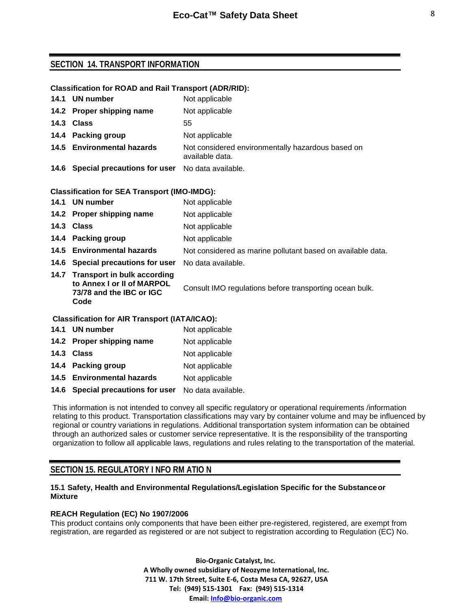## **SECTION 14. TRANSPORT INFORMATION**

## **Classification for ROAD and Rail Transport (ADR/RID):**

| 14.1 UN number                                       | Not applicable                                                       |
|------------------------------------------------------|----------------------------------------------------------------------|
| 14.2 Proper shipping name                            | Not applicable                                                       |
| 14.3 Class                                           | 55                                                                   |
| 14.4 Packing group                                   | Not applicable                                                       |
| 14.5 Environmental hazards                           | Not considered environmentally hazardous based on<br>available data. |
| 14.6 Special precautions for user No data available. |                                                                      |

#### **Classification for SEA Transport (IMO-IMDG):**

| 14.1                                                 | UN number                                                                                          | Not applicable                                              |
|------------------------------------------------------|----------------------------------------------------------------------------------------------------|-------------------------------------------------------------|
|                                                      | 14.2 Proper shipping name                                                                          | Not applicable                                              |
|                                                      | 14.3 Class                                                                                         | Not applicable                                              |
|                                                      | 14.4 Packing group                                                                                 | Not applicable                                              |
|                                                      | 14.5 Environmental hazards                                                                         | Not considered as marine pollutant based on available data. |
|                                                      | 14.6 Special precautions for user                                                                  | No data available.                                          |
|                                                      | 14.7 Transport in bulk according<br>to Annex I or II of MARPOL<br>73/78 and the IBC or IGC<br>Code | Consult IMO regulations before transporting ocean bulk.     |
| <b>Classification for AIR Transport (IATA/ICAO):</b> |                                                                                                    |                                                             |

| 14.1 UN number                                       | Not applicable |
|------------------------------------------------------|----------------|
| 14.2 Proper shipping name                            | Not applicable |
| 14.3 Class                                           | Not applicable |
| 14.4 Packing group                                   | Not applicable |
| 14.5 Environmental hazards                           | Not applicable |
| 14.6 Special precautions for user No data available. |                |

This information is not intended to convey all specific regulatory or operational requirements /information relating to this product. Transportation classifications may vary by container volume and may be influenced by regional or country variations in regulations. Additional transportation system information can be obtained through an authorized sales or customer service representative. It is the responsibility of the transporting organization to follow all applicable laws, regulations and rules relating to the transportation of the material.

# **SECTION 15. REGULATORY I NFO RM ATIO N**

## **15.1 Safety, Health and Environmental Regulations/Legislation Specific for the Substanceor Mixture**

## **REACH Regulation (EC) No 1907/2006**

This product contains only components that have been either pre-registered, registered, are exempt from registration, are regarded as registered or are not subject to registration according to Regulation (EC) No.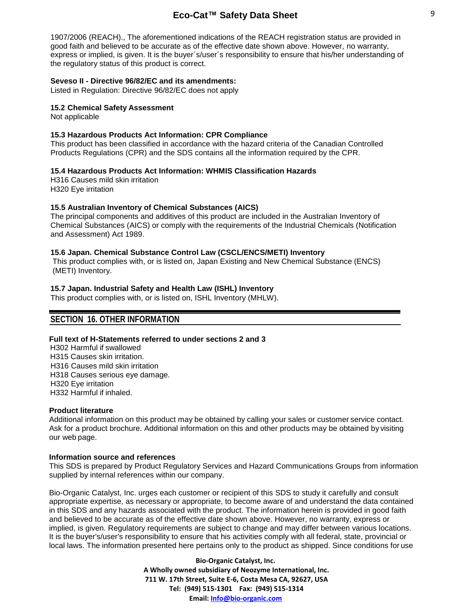1907/2006 (REACH)., The aforementioned indications of the REACH registration status are provided in good faith and believed to be accurate as of the effective date shown above. However, no warranty, express or implied, is given. It is the buyer´s/user´s responsibility to ensure that his/her understanding of the regulatory status of this product is correct.

#### **Seveso II - Directive 96/82/EC and its amendments:**

Listed in Regulation: Directive 96/82/EC does not apply

#### **15.2 Chemical Safety Assessment**

Not applicable

#### **15.3 Hazardous Products Act Information: CPR Compliance**

This product has been classified in accordance with the hazard criteria of the Canadian Controlled Products Regulations (CPR) and the SDS contains all the information required by the CPR.

#### **15.4 Hazardous Products Act Information: WHMIS Classification Hazards**

H316 Causes mild skin irritation H320 Eye irritation

#### **15.5 Australian Inventory of Chemical Substances (AICS)**

The principal components and additives of this product are included in the Australian Inventory of Chemical Substances (AICS) or comply with the requirements of the Industrial Chemicals (Notification and Assessment) Act 1989.

#### **15.6 Japan. Chemical Substance Control Law (CSCL/ENCS/METI) Inventory**

This product complies with, or is listed on, Japan Existing and New Chemical Substance (ENCS) (METI) Inventory.

#### **15.7 Japan. Industrial Safety and Health Law (ISHL) Inventory**

This product complies with, or is listed on, ISHL Inventory (MHLW).

## **SECTION 16. OTHER INFORMATION**

#### **Full text of H-Statements referred to under sections 2 and 3**

 H302 Harmful if swallowed H315 Causes skin irritation. H316 Causes mild skin irritation H318 Causes serious eye damage. H320 Eye irritation H332 Harmful if inhaled.

#### **Product literature**

Additional information on this product may be obtained by calling your sales or customer service contact. Ask for a product brochure. Additional information on this and other products may be obtained by visiting our web page.

#### **Information source and references**

This SDS is prepared by Product Regulatory Services and Hazard Communications Groups from information supplied by internal references within our company.

Bio-Organic Catalyst, Inc. urges each customer or recipient of this SDS to study it carefully and consult appropriate expertise, as necessary or appropriate, to become aware of and understand the data contained in this SDS and any hazards associated with the product. The information herein is provided in good faith and believed to be accurate as of the effective date shown above. However, no warranty, express or implied, is given. Regulatory requirements are subject to change and may differ between various locations. It is the buyer's/user's responsibility to ensure that his activities comply with all federal, state, provincial or local laws. The information presented here pertains only to the product as shipped. Since conditions for use